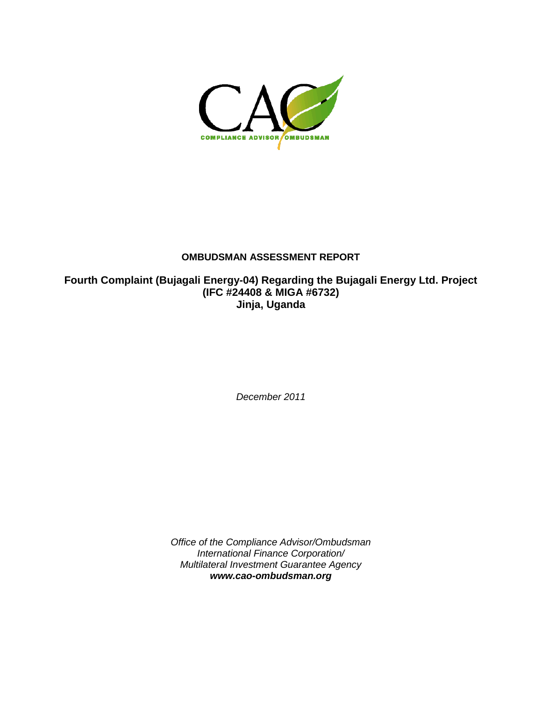

## **OMBUDSMAN ASSESSMENT REPORT**

**Fourth Complaint (Bujagali Energy-04) Regarding the Bujagali Energy Ltd. Project (IFC #24408 & MIGA #6732) Jinja, Uganda**

*December 2011*

*Office of the Compliance Advisor/Ombudsman International Finance Corporation/ Multilateral Investment Guarantee Agency [www.cao-ombudsman.org](http://www.cao-ombudsman.org/)*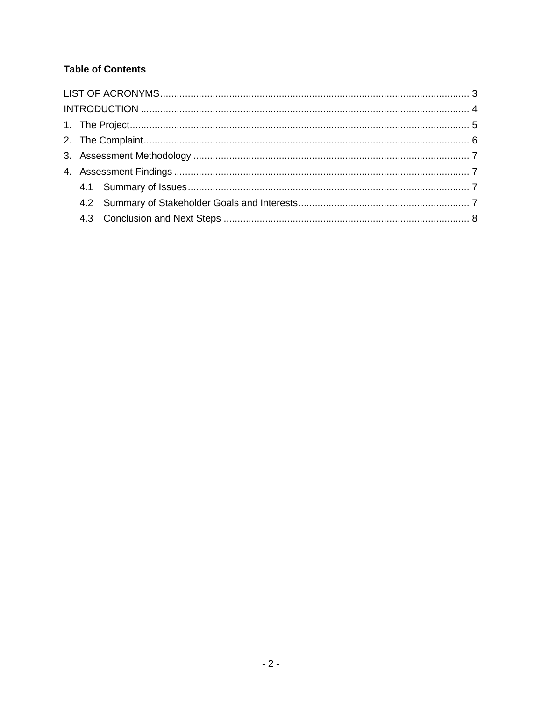## **Table of Contents**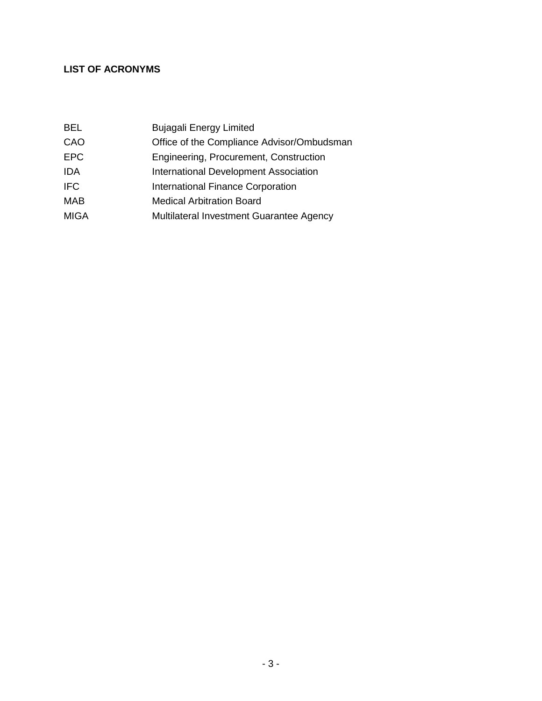# <span id="page-2-0"></span>**LIST OF ACRONYMS**

| <b>Bujagali Energy Limited</b>             |
|--------------------------------------------|
| Office of the Compliance Advisor/Ombudsman |
| Engineering, Procurement, Construction     |
| International Development Association      |
| <b>International Finance Corporation</b>   |
| <b>Medical Arbitration Board</b>           |
| Multilateral Investment Guarantee Agency   |
|                                            |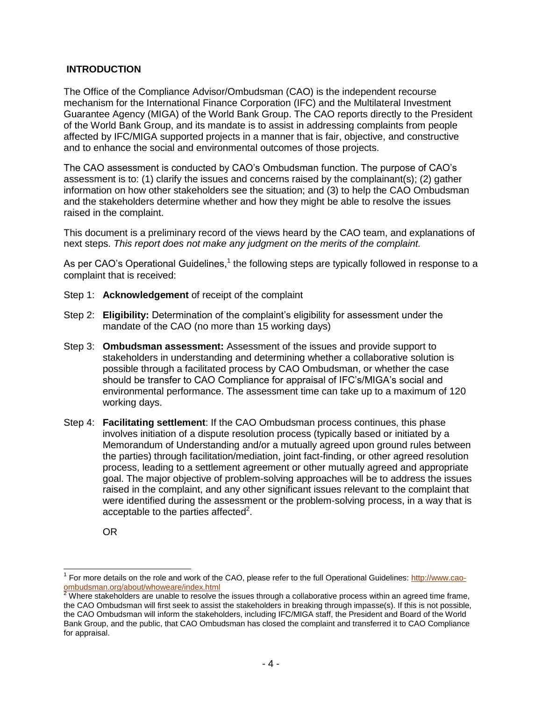#### <span id="page-3-0"></span>**INTRODUCTION**

The Office of the Compliance Advisor/Ombudsman (CAO) is the independent recourse mechanism for the International Finance Corporation (IFC) and the Multilateral Investment Guarantee Agency (MIGA) of the World Bank Group. The CAO reports directly to the President of the World Bank Group, and its mandate is to assist in addressing complaints from people affected by IFC/MIGA supported projects in a manner that is fair, objective, and constructive and to enhance the social and environmental outcomes of those projects.

The CAO assessment is conducted by CAO's Ombudsman function. The purpose of CAO's assessment is to: (1) clarify the issues and concerns raised by the complainant(s); (2) gather information on how other stakeholders see the situation; and (3) to help the CAO Ombudsman and the stakeholders determine whether and how they might be able to resolve the issues raised in the complaint.

This document is a preliminary record of the views heard by the CAO team, and explanations of next steps. *This report does not make any judgment on the merits of the complaint.*

As per CAO's Operational Guidelines, $1$  the following steps are typically followed in response to a complaint that is received:

- Step 1: **Acknowledgement** of receipt of the complaint
- Step 2: **Eligibility:** Determination of the complaint's eligibility for assessment under the mandate of the CAO (no more than 15 working days)
- Step 3: **Ombudsman assessment:** Assessment of the issues and provide support to stakeholders in understanding and determining whether a collaborative solution is possible through a facilitated process by CAO Ombudsman, or whether the case should be transfer to CAO Compliance for appraisal of IFC's/MIGA's social and environmental performance. The assessment time can take up to a maximum of 120 working days.
- Step 4: **Facilitating settlement**: If the CAO Ombudsman process continues, this phase involves initiation of a dispute resolution process (typically based or initiated by a Memorandum of Understanding and/or a mutually agreed upon ground rules between the parties) through facilitation/mediation, joint fact-finding, or other agreed resolution process, leading to a settlement agreement or other mutually agreed and appropriate goal. The major objective of problem-solving approaches will be to address the issues raised in the complaint, and any other significant issues relevant to the complaint that were identified during the assessment or the problem-solving process, in a way that is acceptable to the parties affected<sup>2</sup>.

OR

 $\overline{a}$ 

<sup>&</sup>lt;sup>1</sup> For more details on the role and work of the CAO, please refer to the full Operational Guidelines[: http://www.cao](http://www.cao-ombudsman.org/about/whoweare/index.html)[ombudsman.org/about/whoweare/index.html](http://www.cao-ombudsman.org/about/whoweare/index.html)

 $2$  Where stakeholders are unable to resolve the issues through a collaborative process within an agreed time frame, the CAO Ombudsman will first seek to assist the stakeholders in breaking through impasse(s). If this is not possible, the CAO Ombudsman will inform the stakeholders, including IFC/MIGA staff, the President and Board of the World Bank Group, and the public, that CAO Ombudsman has closed the complaint and transferred it to CAO Compliance for appraisal.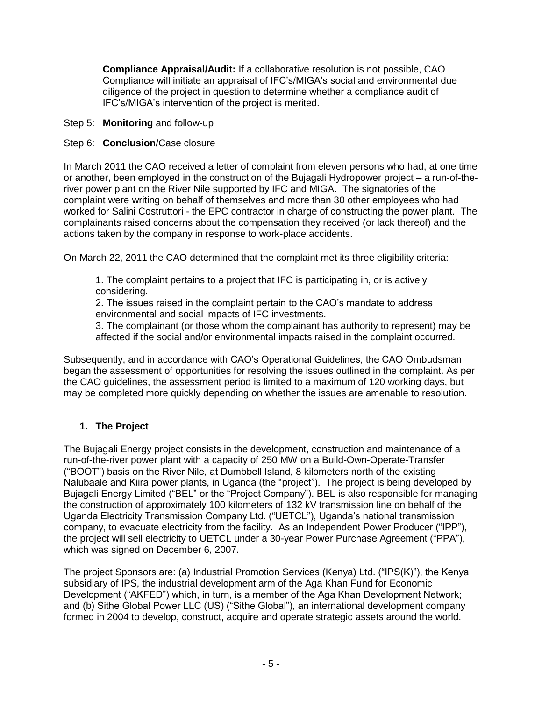**Compliance Appraisal/Audit:** If a collaborative resolution is not possible, CAO Compliance will initiate an appraisal of IFC's/MIGA's social and environmental due diligence of the project in question to determine whether a compliance audit of IFC's/MIGA's intervention of the project is merited.

Step 5: **Monitoring** and follow-up

## Step 6: **Conclusion**/Case closure

In March 2011 the CAO received a letter of complaint from eleven persons who had, at one time or another, been employed in the construction of the Bujagali Hydropower project – a run-of-theriver power plant on the River Nile supported by IFC and MIGA. The signatories of the complaint were writing on behalf of themselves and more than 30 other employees who had worked for Salini Costruttori - the EPC contractor in charge of constructing the power plant. The complainants raised concerns about the compensation they received (or lack thereof) and the actions taken by the company in response to work-place accidents.

On March 22, 2011 the CAO determined that the complaint met its three eligibility criteria:

1. The complaint pertains to a project that IFC is participating in, or is actively considering.

2. The issues raised in the complaint pertain to the CAO's mandate to address environmental and social impacts of IFC investments.

3. The complainant (or those whom the complainant has authority to represent) may be affected if the social and/or environmental impacts raised in the complaint occurred.

Subsequently, and in accordance with CAO's Operational Guidelines, the CAO Ombudsman began the assessment of opportunities for resolving the issues outlined in the complaint. As per the CAO guidelines, the assessment period is limited to a maximum of 120 working days, but may be completed more quickly depending on whether the issues are amenable to resolution.

## <span id="page-4-0"></span>**1. The Project**

The Bujagali Energy project consists in the development, construction and maintenance of a run-of-the-river power plant with a capacity of 250 MW on a Build-Own-Operate-Transfer ("BOOT") basis on the River Nile, at Dumbbell Island, 8 kilometers north of the existing Nalubaale and Kiira power plants, in Uganda (the "project"). The project is being developed by Bujagali Energy Limited ("BEL" or the "Project Company"). BEL is also responsible for managing the construction of approximately 100 kilometers of 132 kV transmission line on behalf of the Uganda Electricity Transmission Company Ltd. ("UETCL"), Uganda's national transmission company, to evacuate electricity from the facility. As an Independent Power Producer ("IPP"), the project will sell electricity to UETCL under a 30-year Power Purchase Agreement ("PPA"), which was signed on December 6, 2007.

The project Sponsors are: (a) Industrial Promotion Services (Kenya) Ltd. ("IPS(K)"), the Kenya subsidiary of IPS, the industrial development arm of the Aga Khan Fund for Economic Development ("AKFED") which, in turn, is a member of the Aga Khan Development Network; and (b) Sithe Global Power LLC (US) ("Sithe Global"), an international development company formed in 2004 to develop, construct, acquire and operate strategic assets around the world.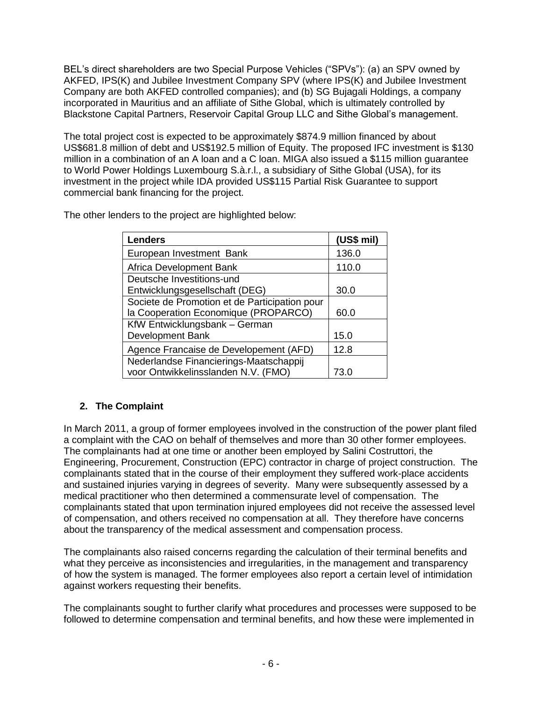BEL's direct shareholders are two Special Purpose Vehicles ("SPVs"): (a) an SPV owned by AKFED, IPS(K) and Jubilee Investment Company SPV (where IPS(K) and Jubilee Investment Company are both AKFED controlled companies); and (b) SG Bujagali Holdings, a company incorporated in Mauritius and an affiliate of Sithe Global, which is ultimately controlled by Blackstone Capital Partners, Reservoir Capital Group LLC and Sithe Global's management.

The total project cost is expected to be approximately \$874.9 million financed by about US\$681.8 million of debt and US\$192.5 million of Equity. The proposed IFC investment is \$130 million in a combination of an A loan and a C loan. MIGA also issued a \$115 million guarantee to World Power Holdings Luxembourg S.à.r.l., a subsidiary of Sithe Global (USA), for its investment in the project while IDA provided US\$115 Partial Risk Guarantee to support commercial bank financing for the project.

| <b>Lenders</b>                                | (US\$ mil) |
|-----------------------------------------------|------------|
| European Investment Bank                      | 136.0      |
| Africa Development Bank                       | 110.0      |
| Deutsche Investitions-und                     |            |
| Entwicklungsgesellschaft (DEG)                | 30.0       |
| Societe de Promotion et de Participation pour |            |
| la Cooperation Economique (PROPARCO)          | 60.0       |
| KfW Entwicklungsbank - German                 |            |
| <b>Development Bank</b>                       | 15.0       |
| Agence Francaise de Developement (AFD)        | 12.8       |
| Nederlandse Financierings-Maatschappij        |            |
| voor Ontwikkelinsslanden N.V. (FMO)           | 73.0       |

The other lenders to the project are highlighted below:

## <span id="page-5-0"></span>**2. The Complaint**

In March 2011, a group of former employees involved in the construction of the power plant filed a complaint with the CAO on behalf of themselves and more than 30 other former employees. The complainants had at one time or another been employed by Salini Costruttori, the Engineering, Procurement, Construction (EPC) contractor in charge of project construction. The complainants stated that in the course of their employment they suffered work-place accidents and sustained injuries varying in degrees of severity. Many were subsequently assessed by a medical practitioner who then determined a commensurate level of compensation. The complainants stated that upon termination injured employees did not receive the assessed level of compensation, and others received no compensation at all. They therefore have concerns about the transparency of the medical assessment and compensation process.

The complainants also raised concerns regarding the calculation of their terminal benefits and what they perceive as inconsistencies and irregularities, in the management and transparency of how the system is managed. The former employees also report a certain level of intimidation against workers requesting their benefits.

The complainants sought to further clarify what procedures and processes were supposed to be followed to determine compensation and terminal benefits, and how these were implemented in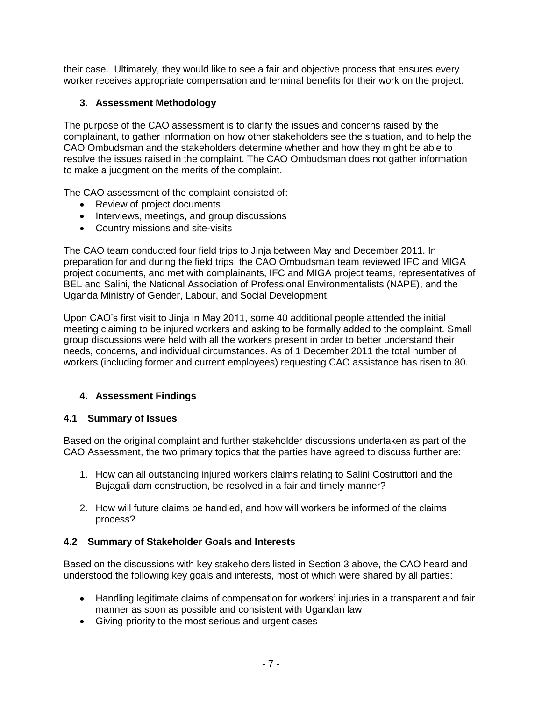their case. Ultimately, they would like to see a fair and objective process that ensures every worker receives appropriate compensation and terminal benefits for their work on the project.

## <span id="page-6-0"></span>**3. Assessment Methodology**

The purpose of the CAO assessment is to clarify the issues and concerns raised by the complainant, to gather information on how other stakeholders see the situation, and to help the CAO Ombudsman and the stakeholders determine whether and how they might be able to resolve the issues raised in the complaint. The CAO Ombudsman does not gather information to make a judgment on the merits of the complaint.

The CAO assessment of the complaint consisted of:

- Review of project documents
- Interviews, meetings, and group discussions
- Country missions and site-visits

The CAO team conducted four field trips to Jinja between May and December 2011. In preparation for and during the field trips, the CAO Ombudsman team reviewed IFC and MIGA project documents, and met with complainants, IFC and MIGA project teams, representatives of BEL and Salini, the National Association of Professional Environmentalists (NAPE), and the Uganda Ministry of Gender, Labour, and Social Development.

Upon CAO's first visit to Jinja in May 2011, some 40 additional people attended the initial meeting claiming to be injured workers and asking to be formally added to the complaint. Small group discussions were held with all the workers present in order to better understand their needs, concerns, and individual circumstances. As of 1 December 2011 the total number of workers (including former and current employees) requesting CAO assistance has risen to 80.

## <span id="page-6-1"></span>**4. Assessment Findings**

## <span id="page-6-2"></span>**4.1 Summary of Issues**

Based on the original complaint and further stakeholder discussions undertaken as part of the CAO Assessment, the two primary topics that the parties have agreed to discuss further are:

- 1. How can all outstanding injured workers claims relating to Salini Costruttori and the Bujagali dam construction, be resolved in a fair and timely manner?
- 2. How will future claims be handled, and how will workers be informed of the claims process?

#### <span id="page-6-3"></span>**4.2 Summary of Stakeholder Goals and Interests**

Based on the discussions with key stakeholders listed in Section 3 above, the CAO heard and understood the following key goals and interests, most of which were shared by all parties:

- Handling legitimate claims of compensation for workers' injuries in a transparent and fair manner as soon as possible and consistent with Ugandan law
- Giving priority to the most serious and urgent cases